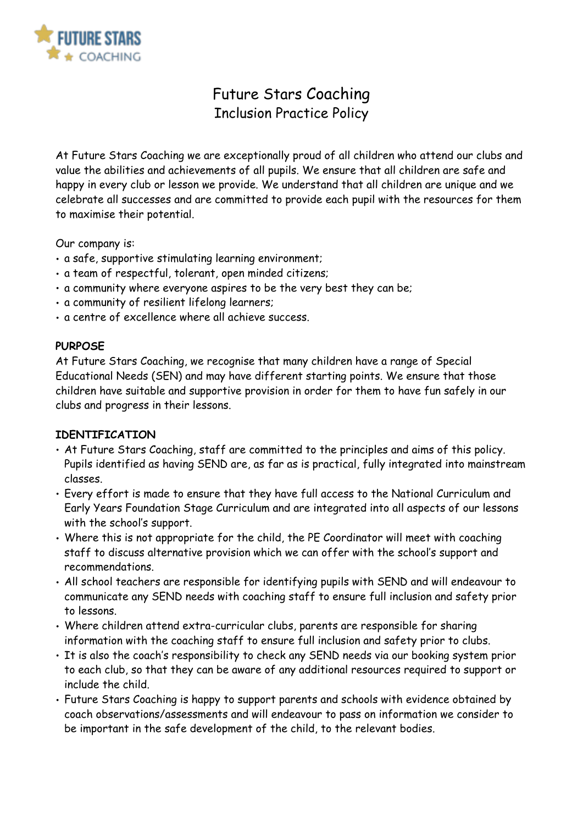

# Future Stars Coaching Inclusion Practice Policy

At Future Stars Coaching we are exceptionally proud of all children who attend our clubs and value the abilities and achievements of all pupils. We ensure that all children are safe and happy in every club or lesson we provide. We understand that all children are unique and we celebrate all successes and are committed to provide each pupil with the resources for them to maximise their potential.

Our company is:

- a safe, supportive stimulating learning environment;
- a team of respectful, tolerant, open minded citizens;
- a community where everyone aspires to be the very best they can be;
- a community of resilient lifelong learners;
- a centre of excellence where all achieve success.

#### **PURPOSE**

At Future Stars Coaching, we recognise that many children have a range of Special Educational Needs (SEN) and may have different starting points. We ensure that those children have suitable and supportive provision in order for them to have fun safely in our clubs and progress in their lessons.

#### **IDENTIFICATION**

- At Future Stars Coaching, staff are committed to the principles and aims of this policy. Pupils identified as having SEND are, as far as is practical, fully integrated into mainstream classes.
- Every effort is made to ensure that they have full access to the National Curriculum and Early Years Foundation Stage Curriculum and are integrated into all aspects of our lessons with the school's support.
- Where this is not appropriate for the child, the PE Coordinator will meet with coaching staff to discuss alternative provision which we can offer with the school's support and recommendations.
- All school teachers are responsible for identifying pupils with SEND and will endeavour to communicate any SEND needs with coaching staff to ensure full inclusion and safety prior to lessons.
- Where children attend extra-curricular clubs, parents are responsible for sharing information with the coaching staff to ensure full inclusion and safety prior to clubs.
- It is also the coach's responsibility to check any SEND needs via our booking system prior to each club, so that they can be aware of any additional resources required to support or include the child.
- Future Stars Coaching is happy to support parents and schools with evidence obtained by coach observations/assessments and will endeavour to pass on information we consider to be important in the safe development of the child, to the relevant bodies.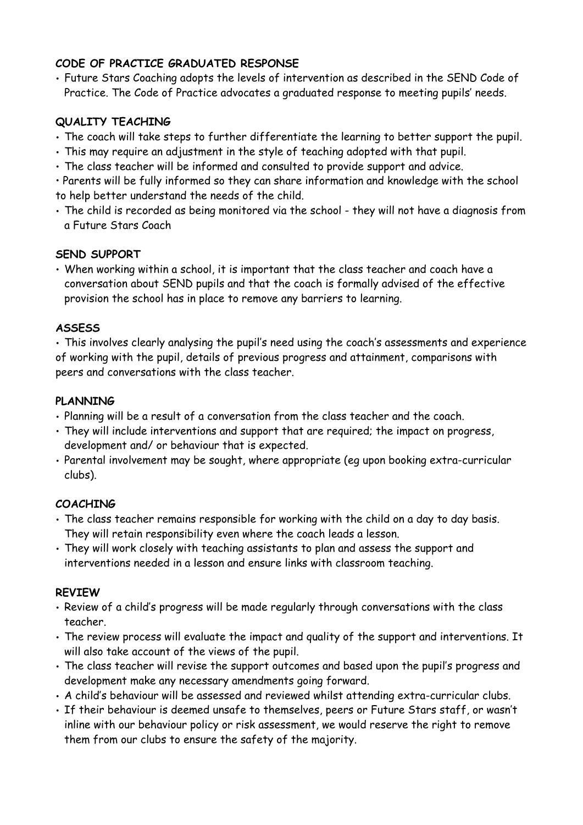## **CODE OF PRACTICE GRADUATED RESPONSE**

• Future Stars Coaching adopts the levels of intervention as described in the SEND Code of Practice. The Code of Practice advocates a graduated response to meeting pupils' needs.

## **QUALITY TEACHING**

- The coach will take steps to further differentiate the learning to better support the pupil.
- This may require an adjustment in the style of teaching adopted with that pupil.
- The class teacher will be informed and consulted to provide support and advice.

• Parents will be fully informed so they can share information and knowledge with the school to help better understand the needs of the child.

• The child is recorded as being monitored via the school - they will not have a diagnosis from a Future Stars Coach

### **SEND SUPPORT**

• When working within a school, it is important that the class teacher and coach have a conversation about SEND pupils and that the coach is formally advised of the effective provision the school has in place to remove any barriers to learning.

# **ASSESS**

• This involves clearly analysing the pupil's need using the coach's assessments and experience of working with the pupil, details of previous progress and attainment, comparisons with peers and conversations with the class teacher.

## **PLANNING**

- Planning will be a result of a conversation from the class teacher and the coach.
- They will include interventions and support that are required; the impact on progress, development and/ or behaviour that is expected.
- Parental involvement may be sought, where appropriate (eg upon booking extra-curricular clubs).

# **COACHING**

- The class teacher remains responsible for working with the child on a day to day basis. They will retain responsibility even where the coach leads a lesson.
- They will work closely with teaching assistants to plan and assess the support and interventions needed in a lesson and ensure links with classroom teaching.

# **REVIEW**

- Review of a child's progress will be made regularly through conversations with the class teacher.
- The review process will evaluate the impact and quality of the support and interventions. It will also take account of the views of the pupil.
- The class teacher will revise the support outcomes and based upon the pupil's progress and development make any necessary amendments going forward.
- A child's behaviour will be assessed and reviewed whilst attending extra-curricular clubs.
- If their behaviour is deemed unsafe to themselves, peers or Future Stars staff, or wasn't inline with our behaviour policy or risk assessment, we would reserve the right to remove them from our clubs to ensure the safety of the majority.